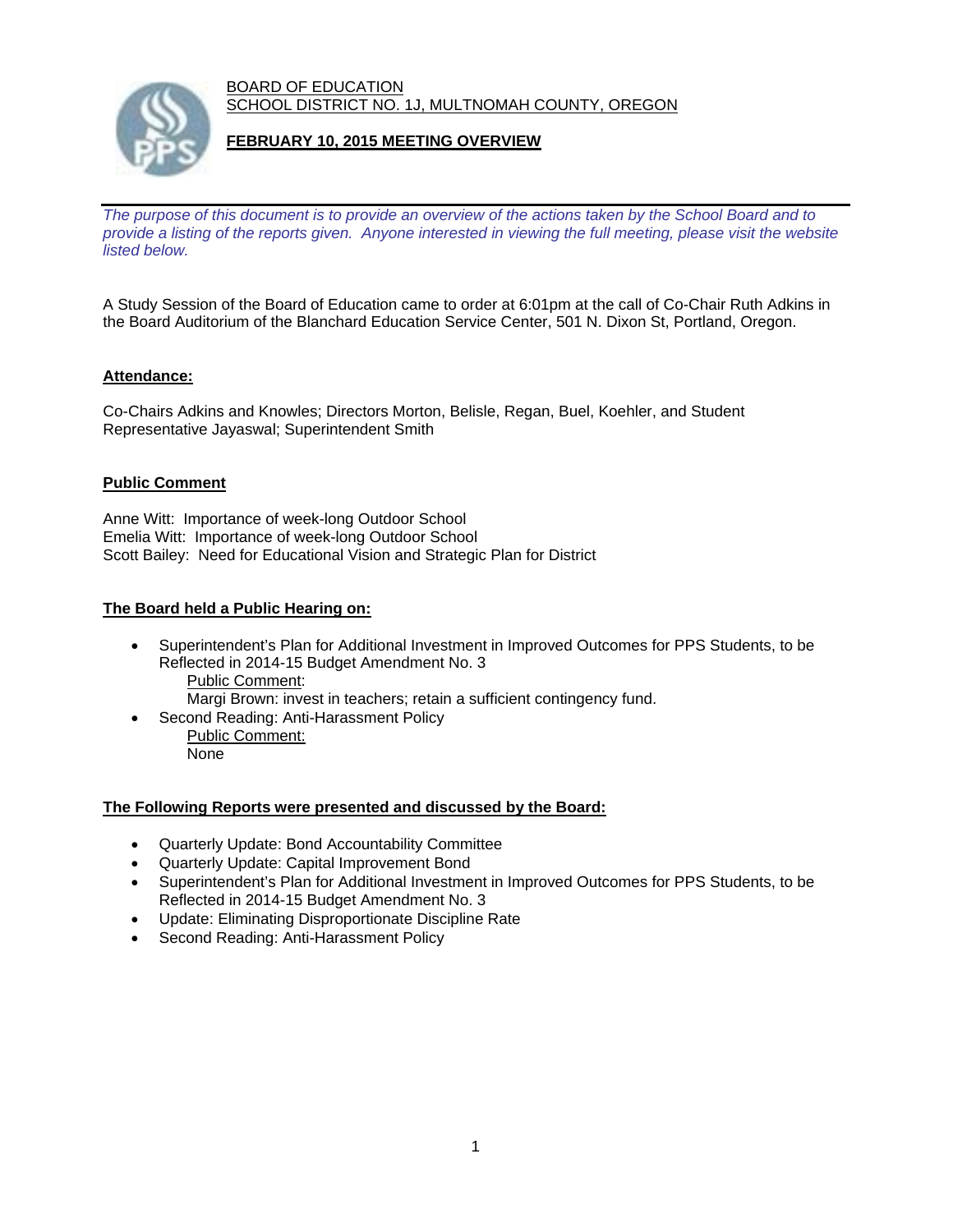BOARD OF EDUCATION SCHOOL DISTRICT NO. 1J, MULTNOMAH COUNTY, OREGON



# **FEBRUARY 10, 2015 MEETING OVERVIEW**

*The purpose of this document is to provide an overview of the actions taken by the School Board and to provide a listing of the reports given. Anyone interested in viewing the full meeting, please visit the website listed below.* 

A Study Session of the Board of Education came to order at 6:01pm at the call of Co-Chair Ruth Adkins in the Board Auditorium of the Blanchard Education Service Center, 501 N. Dixon St, Portland, Oregon.

## **Attendance:**

Co-Chairs Adkins and Knowles; Directors Morton, Belisle, Regan, Buel, Koehler, and Student Representative Jayaswal; Superintendent Smith

### **Public Comment**

Anne Witt: Importance of week-long Outdoor School Emelia Witt: Importance of week-long Outdoor School Scott Bailey: Need for Educational Vision and Strategic Plan for District

### **The Board held a Public Hearing on:**

- Superintendent's Plan for Additional Investment in Improved Outcomes for PPS Students, to be Reflected in 2014-15 Budget Amendment No. 3 Public Comment:
	- Margi Brown: invest in teachers; retain a sufficient contingency fund.
- Second Reading: Anti-Harassment Policy Public Comment: None

#### **The Following Reports were presented and discussed by the Board:**

- Quarterly Update: Bond Accountability Committee
- Quarterly Update: Capital Improvement Bond
- Superintendent's Plan for Additional Investment in Improved Outcomes for PPS Students, to be Reflected in 2014-15 Budget Amendment No. 3
- Update: Eliminating Disproportionate Discipline Rate
- Second Reading: Anti-Harassment Policy